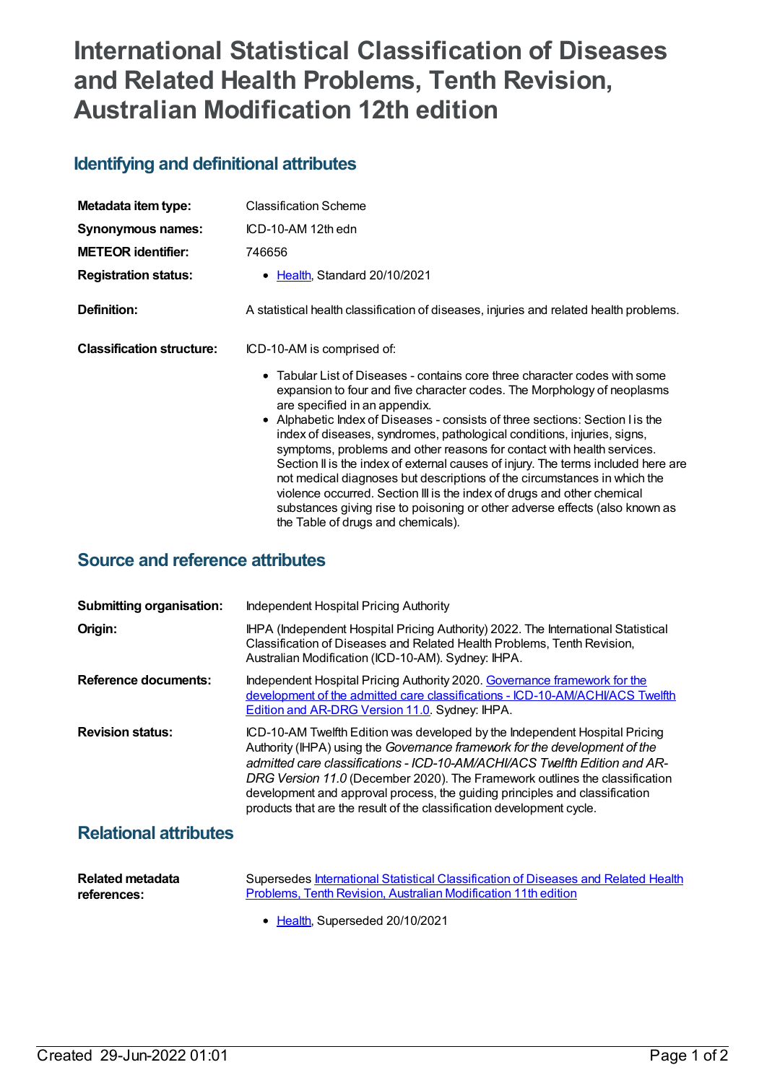## **International Statistical Classification of Diseases and Related Health Problems, Tenth Revision, Australian Modification 12th edition**

## **Identifying and definitional attributes**

| Metadata item type:              | <b>Classification Scheme</b>                                                                                                                                                                                                                                                                                                                                                                                                                                                                                                                                                                                                                                                                                                                                                                  |
|----------------------------------|-----------------------------------------------------------------------------------------------------------------------------------------------------------------------------------------------------------------------------------------------------------------------------------------------------------------------------------------------------------------------------------------------------------------------------------------------------------------------------------------------------------------------------------------------------------------------------------------------------------------------------------------------------------------------------------------------------------------------------------------------------------------------------------------------|
| Synonymous names:                | ICD-10-AM 12th edn                                                                                                                                                                                                                                                                                                                                                                                                                                                                                                                                                                                                                                                                                                                                                                            |
| <b>METEOR identifier:</b>        | 746656                                                                                                                                                                                                                                                                                                                                                                                                                                                                                                                                                                                                                                                                                                                                                                                        |
| <b>Registration status:</b>      | • Health, Standard 20/10/2021                                                                                                                                                                                                                                                                                                                                                                                                                                                                                                                                                                                                                                                                                                                                                                 |
| Definition:                      | A statistical health classification of diseases, injuries and related health problems.                                                                                                                                                                                                                                                                                                                                                                                                                                                                                                                                                                                                                                                                                                        |
| <b>Classification structure:</b> | ICD-10-AM is comprised of:                                                                                                                                                                                                                                                                                                                                                                                                                                                                                                                                                                                                                                                                                                                                                                    |
|                                  | • Tabular List of Diseases - contains core three character codes with some<br>expansion to four and five character codes. The Morphology of neoplasms<br>are specified in an appendix.<br>• Alphabetic Index of Diseases - consists of three sections: Section I is the<br>index of diseases, syndromes, pathological conditions, injuries, signs,<br>symptoms, problems and other reasons for contact with health services.<br>Section II is the index of external causes of injury. The terms included here are<br>not medical diagnoses but descriptions of the circumstances in which the<br>violence occurred. Section III is the index of drugs and other chemical<br>substances giving rise to poisoning or other adverse effects (also known as<br>the Table of drugs and chemicals). |

## **Source and reference attributes**

| <b>Submitting organisation:</b> | Independent Hospital Pricing Authority                                                                                                                                                                                                                                                                                                                                                                                                                                         |
|---------------------------------|--------------------------------------------------------------------------------------------------------------------------------------------------------------------------------------------------------------------------------------------------------------------------------------------------------------------------------------------------------------------------------------------------------------------------------------------------------------------------------|
| Origin:                         | IHPA (Independent Hospital Pricing Authority) 2022. The International Statistical<br>Classification of Diseases and Related Health Problems, Tenth Revision,<br>Australian Modification (ICD-10-AM). Sydney: IHPA.                                                                                                                                                                                                                                                             |
| Reference documents:            | Independent Hospital Pricing Authority 2020. Governance framework for the<br>development of the admitted care classifications - ICD-10-AM/ACHI/ACS Twelfth<br>Edition and AR-DRG Version 11.0. Sydney: IHPA.                                                                                                                                                                                                                                                                   |
| <b>Revision status:</b>         | ICD-10-AM Twelfth Edition was developed by the Independent Hospital Pricing<br>Authority (IHPA) using the Governance framework for the development of the<br>admitted care classifications - ICD-10-AM/ACHI/ACS Twelfth Edition and AR-<br>DRG Version 11.0 (December 2020). The Framework outlines the classification<br>development and approval process, the guiding principles and classification<br>products that are the result of the classification development cycle. |
|                                 |                                                                                                                                                                                                                                                                                                                                                                                                                                                                                |

## **Relational attributes**

| <b>Related metadata</b> | Supersedes International Statistical Classification of Diseases and Related Health |
|-------------------------|------------------------------------------------------------------------------------|
| references:             | Problems. Tenth Revision. Australian Modification 11th edition                     |

• [Health](https://meteor.aihw.gov.au/RegistrationAuthority/12), Superseded 20/10/2021